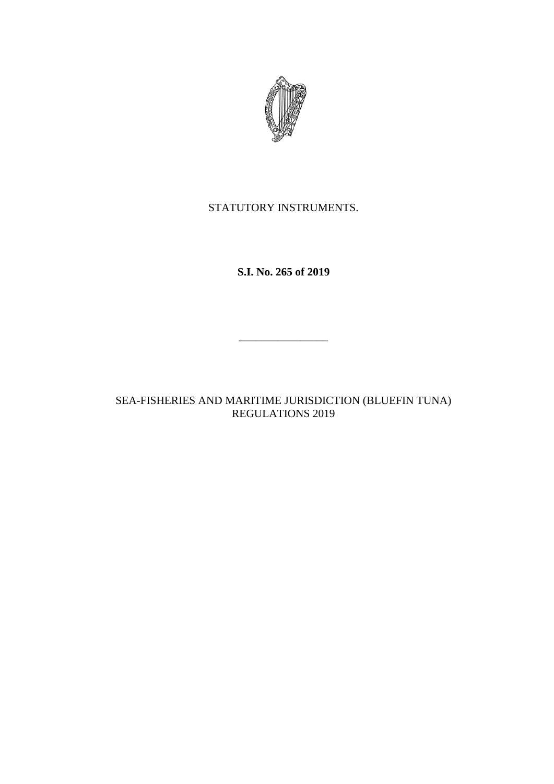

# STATUTORY INSTRUMENTS.

**S.I. No. 265 of 2019**

SEA-FISHERIES AND MARITIME JURISDICTION (BLUEFIN TUNA) REGULATIONS 2019

 $\mathcal{L}=\mathcal{L}=\mathcal{L}=\mathcal{L}=\mathcal{L}=\mathcal{L}=\mathcal{L}=\mathcal{L}=\mathcal{L}=\mathcal{L}=\mathcal{L}=\mathcal{L}=\mathcal{L}=\mathcal{L}=\mathcal{L}=\mathcal{L}=\mathcal{L}=\mathcal{L}=\mathcal{L}=\mathcal{L}=\mathcal{L}=\mathcal{L}=\mathcal{L}=\mathcal{L}=\mathcal{L}=\mathcal{L}=\mathcal{L}=\mathcal{L}=\mathcal{L}=\mathcal{L}=\mathcal{L}=\mathcal{L}=\mathcal{L}=\mathcal{L}=\mathcal{L}=\mathcal{L}=\mathcal{$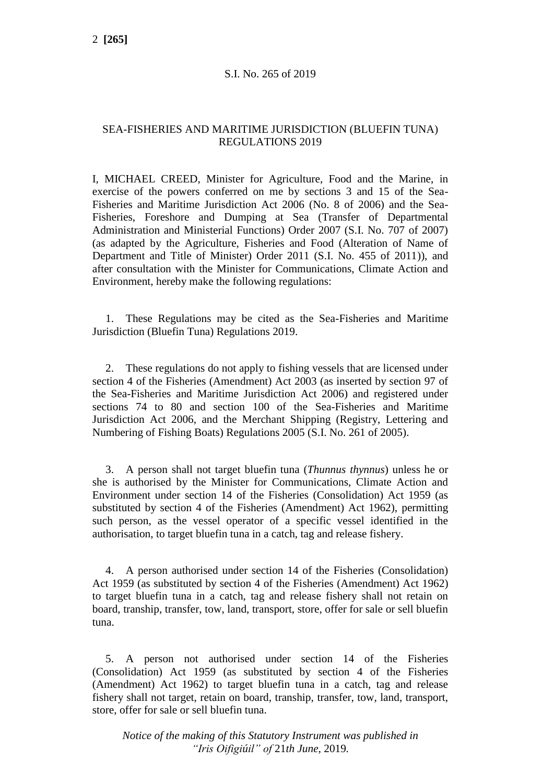#### S.I. No. 265 of 2019

# SEA-FISHERIES AND MARITIME JURISDICTION (BLUEFIN TUNA) REGULATIONS 2019

I, MICHAEL CREED, Minister for Agriculture, Food and the Marine, in exercise of the powers conferred on me by sections 3 and 15 of the Sea-Fisheries and Maritime Jurisdiction Act 2006 (No. 8 of 2006) and the Sea-Fisheries, Foreshore and Dumping at Sea (Transfer of Departmental Administration and Ministerial Functions) Order 2007 (S.I. No. 707 of 2007) (as adapted by the Agriculture, Fisheries and Food (Alteration of Name of Department and Title of Minister) Order 2011 (S.I. No. 455 of 2011)), and after consultation with the Minister for Communications, Climate Action and Environment, hereby make the following regulations:

1. These Regulations may be cited as the Sea-Fisheries and Maritime Jurisdiction (Bluefin Tuna) Regulations 2019.

2. These regulations do not apply to fishing vessels that are licensed under section 4 of the Fisheries (Amendment) Act 2003 (as inserted by section 97 of the Sea-Fisheries and Maritime Jurisdiction Act 2006) and registered under sections 74 to 80 and section 100 of the Sea-Fisheries and Maritime Jurisdiction Act 2006, and the Merchant Shipping (Registry, Lettering and Numbering of Fishing Boats) Regulations 2005 (S.I. No. 261 of 2005).

3. A person shall not target bluefin tuna (*Thunnus thynnus*) unless he or she is authorised by the Minister for Communications, Climate Action and Environment under section 14 of the Fisheries (Consolidation) Act 1959 (as substituted by section 4 of the Fisheries (Amendment) Act 1962), permitting such person, as the vessel operator of a specific vessel identified in the authorisation, to target bluefin tuna in a catch, tag and release fishery.

4. A person authorised under section 14 of the Fisheries (Consolidation) Act 1959 (as substituted by section 4 of the Fisheries (Amendment) Act 1962) to target bluefin tuna in a catch, tag and release fishery shall not retain on board, tranship, transfer, tow, land, transport, store, offer for sale or sell bluefin tuna.

5. A person not authorised under section 14 of the Fisheries (Consolidation) Act 1959 (as substituted by section 4 of the Fisheries (Amendment) Act 1962) to target bluefin tuna in a catch, tag and release fishery shall not target, retain on board, tranship, transfer, tow, land, transport, store, offer for sale or sell bluefin tuna.

*Notice of the making of this Statutory Instrument was published in "Iris Oifigiúil" of* 21*th June,* 2019*.*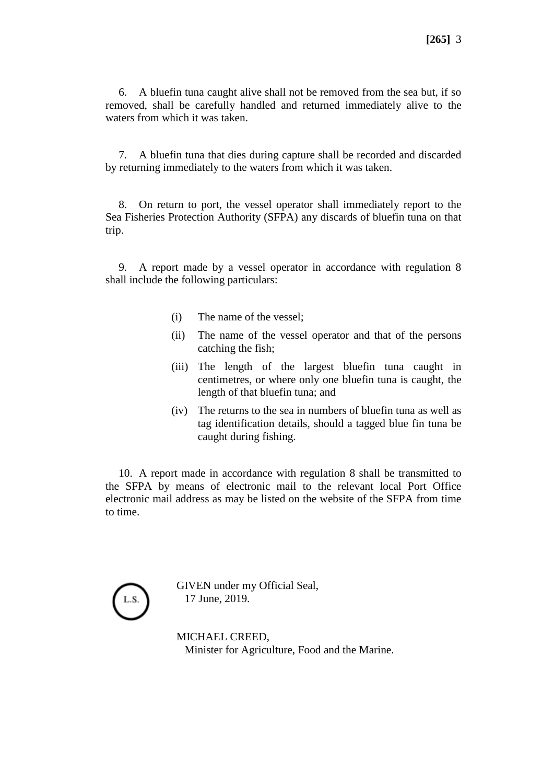6. A bluefin tuna caught alive shall not be removed from the sea but, if so removed, shall be carefully handled and returned immediately alive to the waters from which it was taken.

7. A bluefin tuna that dies during capture shall be recorded and discarded by returning immediately to the waters from which it was taken.

8. On return to port, the vessel operator shall immediately report to the Sea Fisheries Protection Authority (SFPA) any discards of bluefin tuna on that trip.

9. A report made by a vessel operator in accordance with regulation 8 shall include the following particulars:

- (i) The name of the vessel;
- (ii) The name of the vessel operator and that of the persons catching the fish;
- (iii) The length of the largest bluefin tuna caught in centimetres, or where only one bluefin tuna is caught, the length of that bluefin tuna; and
- (iv) The returns to the sea in numbers of bluefin tuna as well as tag identification details, should a tagged blue fin tuna be caught during fishing.

10. A report made in accordance with regulation 8 shall be transmitted to the SFPA by means of electronic mail to the relevant local Port Office electronic mail address as may be listed on the website of the SFPA from time to time.



GIVEN under my Official Seal, 17 June, 2019.

MICHAEL CREED, Minister for Agriculture, Food and the Marine.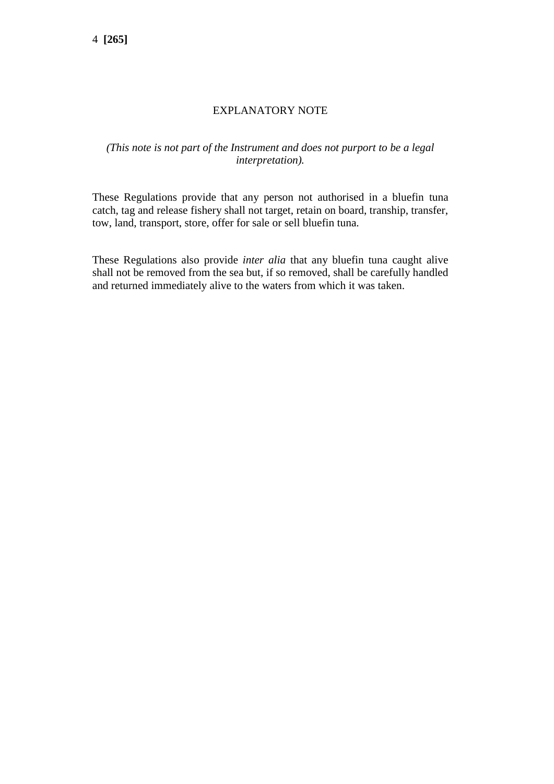# EXPLANATORY NOTE

# *(This note is not part of the Instrument and does not purport to be a legal interpretation).*

These Regulations provide that any person not authorised in a bluefin tuna catch, tag and release fishery shall not target, retain on board, tranship, transfer, tow, land, transport, store, offer for sale or sell bluefin tuna.

These Regulations also provide *inter alia* that any bluefin tuna caught alive shall not be removed from the sea but, if so removed, shall be carefully handled and returned immediately alive to the waters from which it was taken.